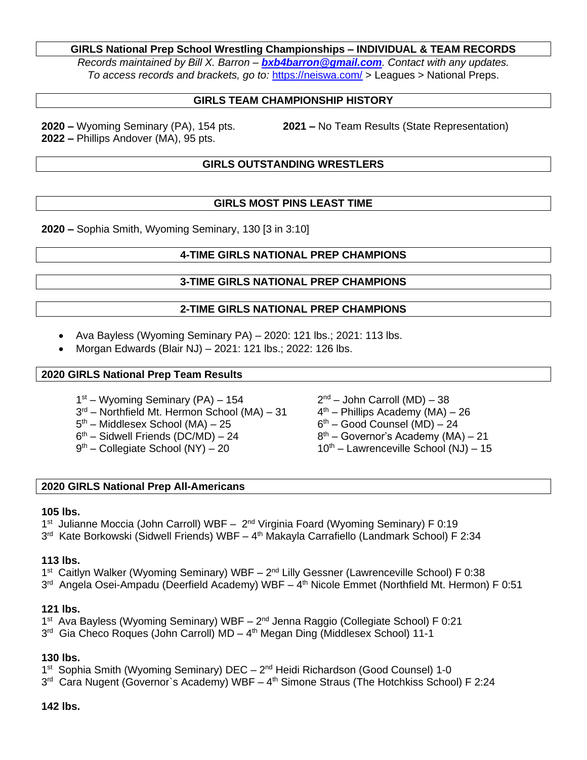### **GIRLS National Prep School Wrestling Championships – INDIVIDUAL & TEAM RECORDS**

*Records maintained by Bill X. Barron – [bxb4barron@gmail.com](about:blank). Contact with any updates. To access records and brackets, go to:* [https://neiswa.com/](about:blank) > Leagues > National Preps.

### **GIRLS TEAM CHAMPIONSHIP HISTORY**

**2022 –** Phillips Andover (MA), 95 pts.

**2020 –** Wyoming Seminary (PA), 154 pts. **2021 –** No Team Results (State Representation)

## **GIRLS OUTSTANDING WRESTLERS**

### **GIRLS MOST PINS LEAST TIME**

**2020 –** Sophia Smith, Wyoming Seminary, 130 [3 in 3:10]

### **4-TIME GIRLS NATIONAL PREP CHAMPIONS**

### **3-TIME GIRLS NATIONAL PREP CHAMPIONS**

#### **2-TIME GIRLS NATIONAL PREP CHAMPIONS**

- Ava Bayless (Wyoming Seminary PA) 2020: 121 lbs.; 2021: 113 lbs.
- Morgan Edwards (Blair NJ) 2021: 121 lbs.; 2022: 126 lbs.

#### **2020 GIRLS National Prep Team Results**

- 1<sup>st</sup> Wyoming Seminary (PA) 154 **2**
- 3<sup>rd</sup> Northfield Mt. Hermon School (MA) 31 4
- 5<sup>th</sup> Middlesex School (MA) 25 6
- 6<sup>th</sup> Sidwell Friends (DC/MD) 24 8
- $9<sup>th</sup>$  Collegiate School (NY) 20
- $2<sup>nd</sup>$  John Carroll (MD) 38  $4<sup>th</sup>$  – Phillips Academy (MA) – 26
- $6<sup>th</sup>$  Good Counsel (MD) 24
- $8<sup>th</sup>$  Governor's Academy (MA) 21
- $10<sup>th</sup>$  Lawrenceville School (NJ) 15

#### **2020 GIRLS National Prep All-Americans**

#### **105 lbs.**

1<sup>st</sup> Julianne Moccia (John Carroll) WBF - 2<sup>nd</sup> Virginia Foard (Wyoming Seminary) F 0:19 3<sup>rd</sup> Kate Borkowski (Sidwell Friends) WBF – 4<sup>th</sup> Makayla Carrafiello (Landmark School) F 2:34

#### **113 lbs.**

1<sup>st</sup> Caitlyn Walker (Wyoming Seminary) WBF - 2<sup>nd</sup> Lilly Gessner (Lawrenceville School) F 0:38

3<sup>rd</sup> Angela Osei-Ampadu (Deerfield Academy) WBF – 4<sup>th</sup> Nicole Emmet (Northfield Mt. Hermon) F 0:51

#### **121 lbs.**

1<sup>st</sup> Ava Bayless (Wyoming Seminary) WBF - 2<sup>nd</sup> Jenna Raggio (Collegiate School) F 0:21

3<sup>rd</sup> Gia Checo Roques (John Carroll) MD – 4<sup>th</sup> Megan Ding (Middlesex School) 11-1

# **130 lbs.**

1<sup>st</sup> Sophia Smith (Wyoming Seminary) DEC - 2<sup>nd</sup> Heidi Richardson (Good Counsel) 1-0

3<sup>rd</sup> Cara Nugent (Governor`s Academy) WBF – 4<sup>th</sup> Simone Straus (The Hotchkiss School) F 2:24

## **142 lbs.**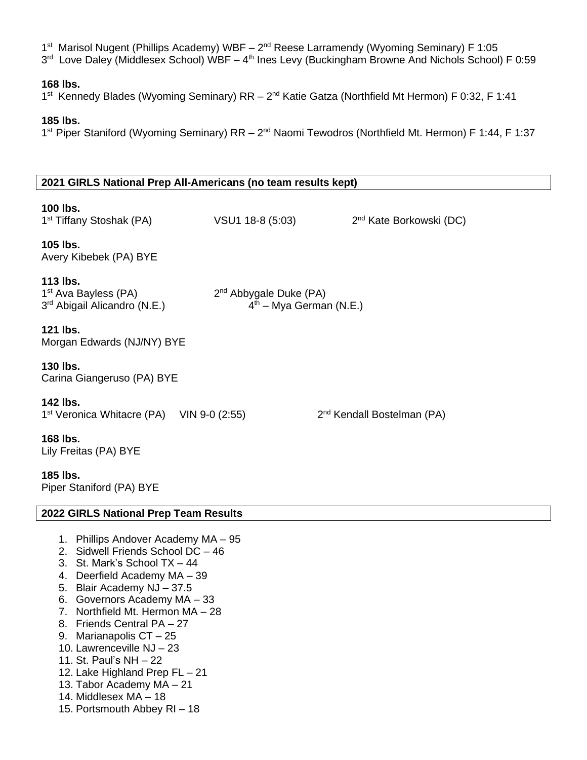1<sup>st</sup> Marisol Nugent (Phillips Academy) WBF – 2<sup>nd</sup> Reese Larramendy (Wyoming Seminary) F 1:05 3<sup>rd</sup> Love Daley (Middlesex School) WBF – 4<sup>th</sup> Ines Levy (Buckingham Browne And Nichols School) F 0:59

#### **168 lbs.**

1<sup>st</sup> Kennedy Blades (Wyoming Seminary) RR – 2<sup>nd</sup> Katie Gatza (Northfield Mt Hermon) F 0:32, F 1:41

#### **185 lbs.**

1<sup>st</sup> Piper Staniford (Wyoming Seminary) RR – 2<sup>nd</sup> Naomi Tewodros (Northfield Mt. Hermon) F 1:44, F 1:37

#### **2021 GIRLS National Prep All-Americans (no team results kept)**

## **100 lbs.**

1 st Tiffany Stoshak (PA) VSU1 18-8 (5:03) 2 2<sup>nd</sup> Kate Borkowski (DC) **105 lbs.** Avery Kibebek (PA) BYE **113 lbs.** 1 st Ava Bayless (PA) 2 2<sup>nd</sup> Abbygale Duke (PA) 3 rd Abigail Alicandro (N.E.) 4  $4<sup>th</sup>$  – Mya German (N.E.) **121 lbs.** Morgan Edwards (NJ/NY) BYE **130 lbs.** Carina Giangeruso (PA) BYE **142 lbs.** 1 st Veronica Whitacre (PA) VIN 9-0 (2:55) 2 2<sup>nd</sup> Kendall Bostelman (PA) **168 lbs.** Lily Freitas (PA) BYE **185 lbs.** Piper Staniford (PA) BYE

#### **2022 GIRLS National Prep Team Results**

- 1. Phillips Andover Academy MA 95
- 2. Sidwell Friends School DC 46
- 3. St. Mark's School TX 44
- 4. Deerfield Academy MA 39
- 5. Blair Academy NJ 37.5
- 6. Governors Academy MA 33
- 7. Northfield Mt. Hermon MA 28
- 8. Friends Central PA 27
- 9. Marianapolis CT 25
- 10. Lawrenceville NJ 23
- 11. St. Paul's NH 22
- 12. Lake Highland Prep FL 21
- 13. Tabor Academy MA 21
- 14. Middlesex MA 18
- 15. Portsmouth Abbey RI 18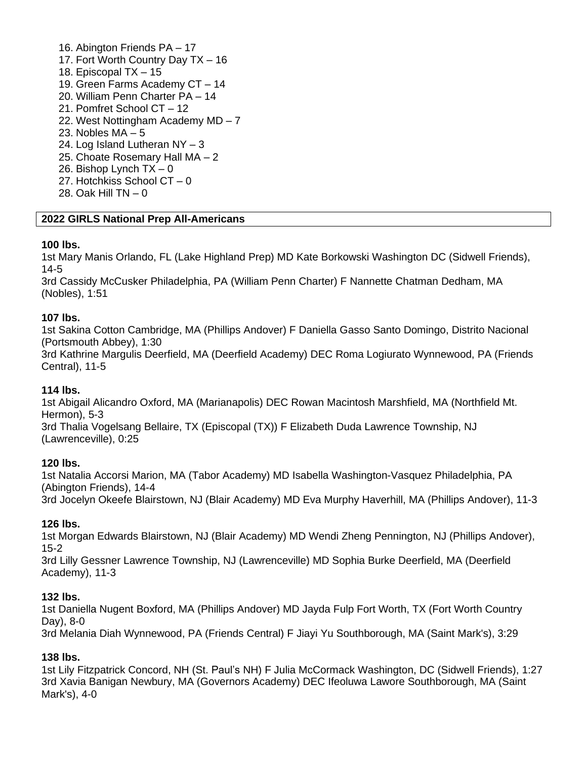16. Abington Friends PA – 17 17. Fort Worth Country Day TX – 16 18. Episcopal TX – 15 19. Green Farms Academy CT – 14 20. William Penn Charter PA – 14 21. Pomfret School CT – 12 22. West Nottingham Academy MD – 7 23. Nobles  $MA - 5$ 24. Log Island Lutheran NY – 3 25. Choate Rosemary Hall MA – 2 26. Bishop Lynch  $TX - 0$ 27. Hotchkiss School CT – 0 28. Oak Hill TN – 0

## **2022 GIRLS National Prep All-Americans**

## **100 lbs.**

1st Mary Manis Orlando, FL (Lake Highland Prep) MD Kate Borkowski Washington DC (Sidwell Friends), 14-5

3rd Cassidy McCusker Philadelphia, PA (William Penn Charter) F Nannette Chatman Dedham, MA (Nobles), 1:51

## **107 lbs.**

1st Sakina Cotton Cambridge, MA (Phillips Andover) F Daniella Gasso Santo Domingo, Distrito Nacional (Portsmouth Abbey), 1:30

3rd Kathrine Margulis Deerfield, MA (Deerfield Academy) DEC Roma Logiurato Wynnewood, PA (Friends Central), 11-5

## **114 lbs.**

1st Abigail Alicandro Oxford, MA (Marianapolis) DEC Rowan Macintosh Marshfield, MA (Northfield Mt. Hermon), 5-3 3rd Thalia Vogelsang Bellaire, TX (Episcopal (TX)) F Elizabeth Duda Lawrence Township, NJ (Lawrenceville), 0:25

## **120 lbs.**

1st Natalia Accorsi Marion, MA (Tabor Academy) MD Isabella Washington-Vasquez Philadelphia, PA (Abington Friends), 14-4 3rd Jocelyn Okeefe Blairstown, NJ (Blair Academy) MD Eva Murphy Haverhill, MA (Phillips Andover), 11-3

## **126 lbs.**

1st Morgan Edwards Blairstown, NJ (Blair Academy) MD Wendi Zheng Pennington, NJ (Phillips Andover), 15-2

3rd Lilly Gessner Lawrence Township, NJ (Lawrenceville) MD Sophia Burke Deerfield, MA (Deerfield Academy), 11-3

## **132 lbs.**

1st Daniella Nugent Boxford, MA (Phillips Andover) MD Jayda Fulp Fort Worth, TX (Fort Worth Country Day), 8-0

3rd Melania Diah Wynnewood, PA (Friends Central) F Jiayi Yu Southborough, MA (Saint Mark's), 3:29

## **138 lbs.**

1st Lily Fitzpatrick Concord, NH (St. Paul's NH) F Julia McCormack Washington, DC (Sidwell Friends), 1:27 3rd Xavia Banigan Newbury, MA (Governors Academy) DEC Ifeoluwa Lawore Southborough, MA (Saint Mark's), 4-0